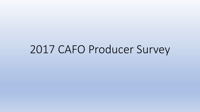# 2017 CAFO Producer Survey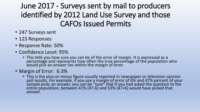### June 2017 - Surveys sent by mail to producers identified by 2012 Land Use Survey and those CAFOs Issued Permits

- 247 Surveys sent
- 123 Responses
- Response Rate: 50%
- Confidence Level: 95%
	- This tells you how sure you can be of the error of margin. It is expressed as a percentage and represents how often the true percentage of the population who would pick an answer lies within the margin of error
- Margin of Error: 6.3%
	- This is the plus-or-minus figure usually reported in newspaper or television opinion poll results. For example, if you use a margin of error of 6% and 47% percent of your sample picks an answer, you can be "sure" that if you had asked the question to the entire population, between 41% (47-6) and 53% (47+6) would have picked that answer.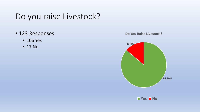### Do you raise Livestock?

- 123 Responses
	- 106 Yes
	- 17 No

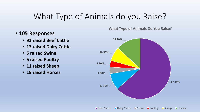### What Type of Animals do you Raise?

- **105 Responses**
	- **92 raised Beef Cattle**
	- **13 raised Dairy Cattle**
	- **5 raised Swine**
	- **5 raised Poultry**
	- **11 raised Sheep**
	- **19 raised Horses**

**What Type of Animals Do You Raise?**

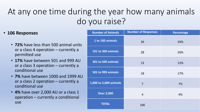### At any one time during the year how many animals do you raise?

#### • **106 Responses**

- **72%** have less than 500 animal units or a class 4 operation – currently a permitted use
- **17%** have between 501 and 999 AU or a class 3 operation – currently a conditional use
- **7%** have between 1000 and 1999 AU or a class 2 operation – currently a conditional use
- **4%** have over 2,000 AU or a class 1 operation – currently a conditional use

| <b>Number of Animals</b> | <b>Number of Responses</b> | <b>Percentage</b> |
|--------------------------|----------------------------|-------------------|
| 1 to 100 animals         | 36                         | 34%               |
| 101 to 300 animals       | 28                         | 26%               |
| 301 to 500 animals       | 13                         | 12%               |
| 501 to 999 animals       | 18                         | 17%               |
| 1,000 to 2,000 animals   | $\overline{7}$             | 7%                |
| <b>Over 2,000</b>        | $\overline{4}$             | 4%                |
| <b>TOTAL</b>             | 106                        |                   |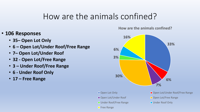### How are the animals confined?

**Free Range** 

#### • **106 Responses**

- **35– Open Lot Only**
- **6 – Open Lot/Under Roof/Free Range**
- **7– Open Lot/Under Roof**
- **32 - Open Lot/Free Range**
- **3 – Under Roof/Free Range**
- **6 - Under Roof Only**
- **17 – Free Range**

#### **How are the animals confined?**



- Open Lot/Under Roof Open Lot/Free Range
- Under Roof/Free Range Name National Punder Roof Only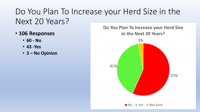### Do You Plan To Increase your Herd Size in the Next 20 Years?

- **106 Responses**
	- **60 - No**
	- **43 -Yes**
	- **3 – No Opinion**

#### **Do You Plan To Increase your Herd Size in the Next 20 Years?**

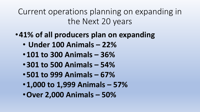Current operations planning on expanding in the Next 20 years

- •**41% of all producers plan on expanding**
	- **Under 100 Animals – 22%**
	- •**101 to 300 Animals – 36%**
	- •**301 to 500 Animals – 54%**
	- •**501 to 999 Animals – 67%**
	- •**1,000 to 1,999 Animals – 57%**
	- •**Over 2,000 Animals – 50%**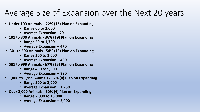### Average Size of Expansion over the Next 20 years

- **Under 100 Animals - 22% (15) Plan on Expanding**
	- **Range 60 to 2,000**
	- **Average Expansion - 70**
- **101 to 300 Animals - 36% (19) Plan on Expanding**
	- **Range 50 to 1,700**
	- **Average Expansion – 470**
- **301 to 500 Animals - 54% (13) Plan on Expanding**
	- **Range 200 to 1,000**
	- **Average Expansion – 490**
- **501 to 999 Animals - 67% (23) Plan on Expanding** 
	- **Range 400 to 9,000**
	- **Average Expansion – 990**
- **1,000 to 1,999 Animals - 57% (8) Plan on Expanding**
	- **Range 500 to 3,000**
	- **Average Expansion – 1,250**
- **Over 2,000 Animals - 50% (4) Plan on Expanding**
	- **Range 2,000 to 15,000**
	- **Average Expansion – 2,000**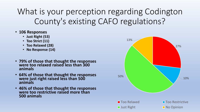What is your perception regarding Codington County's existing CAFO regulations?

- **106 Responses**
	- **Just Right (53)**
	- **Too Strict (11)**
	- **Too Relaxed (28)**
	- **No Response (14)**
- **79% of those that thought the responses were too relaxed raised less than 300 animals**
- **64% of those that thought the responses were just right raised less than 500 animals**
- **46% of those that thought the responses were too restrictive raised more than 500 animals**

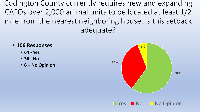Codington County currently requires new and expanding CAFOs over 2,000 animal units to be located at least 1/2 mile from the nearest neighboring house. Is this setback adequate?

- **106 Responses**
	- **64 - Yes**
	- **36 - No**
	- **6 – No Opinion**



**No No Definion**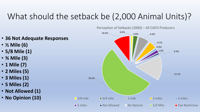### What should the setback be (2,000 Animal Units)?

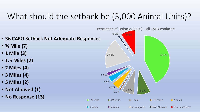### What should the setback be (3,000 Animal Units)?

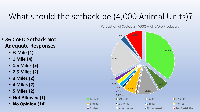### What should the setback be (4,000 Animal Units)?

Perception of Setbacks (4000) – All CAFO Producers



### • **36 CAFO Setback Not Adequate Responses**

- **¾ Mile (4)**
- **1 Mile (4)**
- **1.5 Miles (5)**
- **2.5 Miles (2)**
- **3 Miles (2)**
- **4 Miles (2)**
- **5 Miles (2)**
- **Not Allowed (1)**
- **No Opinion (14)**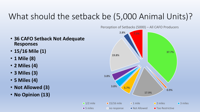### What should the setback be (5,000 Animal Units)?

- **36 CAFO Setback Not Adequate Responses**
- **15/16 Mile (1)**
- **1 Mile (8)**
- **2 Miles (4)**
- **3 Miles (3)**
- **5 Miles (4)**
- **Not Allowed (3)**
- **No Opinion (13)**

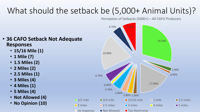## What should the setback be (5,000+ Animal Units)?

29.20% 1.90% 0.90% 17.90% 2.80% 1.90% 2.80% 4.70% 0.90% 4.70% 19.80% 4.70% 7.50%  $\blacksquare$  1/2 mile  $\blacksquare$  3/4 mile  $\blacksquare$  15/16 mile  $\blacksquare$  1 mile  $\blacksquare$  1.5 miles  $\blacksquare$  2 miles  $\blacksquare$  2.5 miles  $\blacksquare$  3 miles  $\blacksquare$  4 miles  $\blacksquare$  5 miles ■ no response ■ Not Allowed ■ Too Restrictive

Perception of Setbacks (5000+) – All CAFO Producers

- **36 CAFO Setback Not Adequate Responses** 
	- **15/16 Mile (1)**
	- **1 Mile (7)**
	- **1.5 Miles (2)**
	- **2 Miles (2)**
	- **2.5 Miles (1)**
	- **3 Miles (4)**
	- **4 Miles (1)**
	- **5 Miles (4)**
	- **Not Allowed (4)**
	- **No Opinion (10)**